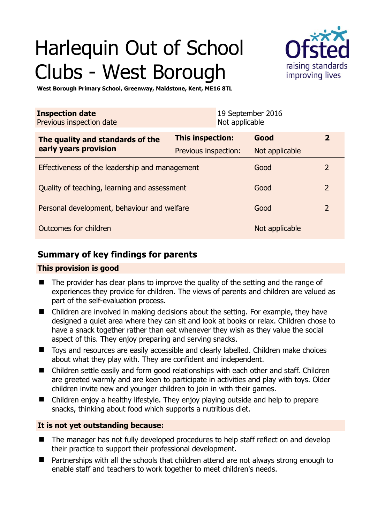# Harlequin Out of School Clubs - West Borough



**West Borough Primary School, Greenway, Maidstone, Kent, ME16 8TL** 

| <b>Inspection date</b><br>Previous inspection date        |                      | 19 September 2016<br>Not applicable |                |                |
|-----------------------------------------------------------|----------------------|-------------------------------------|----------------|----------------|
| The quality and standards of the<br>early years provision | This inspection:     |                                     | Good           | $\overline{2}$ |
|                                                           | Previous inspection: |                                     | Not applicable |                |
| Effectiveness of the leadership and management            |                      |                                     | Good           | $\overline{2}$ |
| Quality of teaching, learning and assessment              |                      |                                     | Good           | $\overline{2}$ |
| Personal development, behaviour and welfare               |                      |                                     | Good           | $\overline{2}$ |
| Outcomes for children                                     |                      |                                     | Not applicable |                |

# **Summary of key findings for parents**

## **This provision is good**

- The provider has clear plans to improve the quality of the setting and the range of experiences they provide for children. The views of parents and children are valued as part of the self-evaluation process.
- Children are involved in making decisions about the setting. For example, they have designed a quiet area where they can sit and look at books or relax. Children chose to have a snack together rather than eat whenever they wish as they value the social aspect of this. They enjoy preparing and serving snacks.
- Toys and resources are easily accessible and clearly labelled. Children make choices about what they play with. They are confident and independent.
- Children settle easily and form good relationships with each other and staff. Children are greeted warmly and are keen to participate in activities and play with toys. Older children invite new and younger children to join in with their games.
- Children enjoy a healthy lifestyle. They enjoy playing outside and help to prepare snacks, thinking about food which supports a nutritious diet.

## **It is not yet outstanding because:**

- The manager has not fully developed procedures to help staff reflect on and develop their practice to support their professional development.
- Partnerships with all the schools that children attend are not always strong enough to enable staff and teachers to work together to meet children's needs.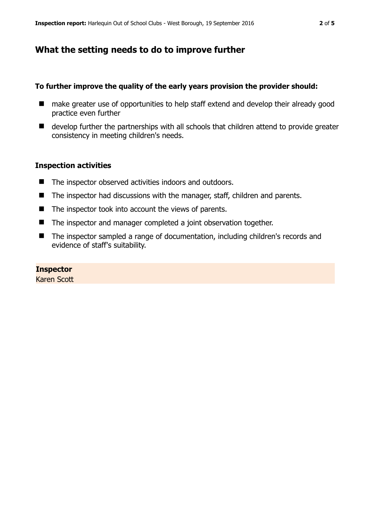## **What the setting needs to do to improve further**

#### **To further improve the quality of the early years provision the provider should:**

- make greater use of opportunities to help staff extend and develop their already good practice even further
- develop further the partnerships with all schools that children attend to provide greater consistency in meeting children's needs.

### **Inspection activities**

- The inspector observed activities indoors and outdoors.
- The inspector had discussions with the manager, staff, children and parents.
- $\blacksquare$  The inspector took into account the views of parents.
- The inspector and manager completed a joint observation together.
- The inspector sampled a range of documentation, including children's records and evidence of staff's suitability.

#### **Inspector**

Karen Scott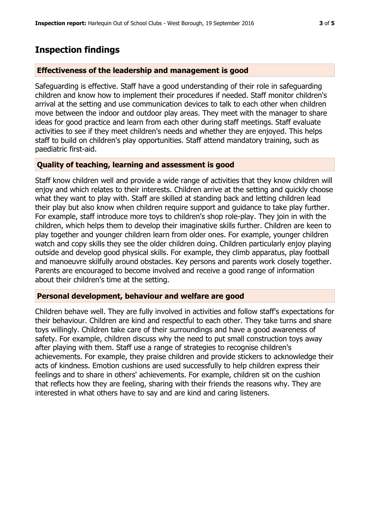## **Inspection findings**

#### **Effectiveness of the leadership and management is good**

Safeguarding is effective. Staff have a good understanding of their role in safeguarding children and know how to implement their procedures if needed. Staff monitor children's arrival at the setting and use communication devices to talk to each other when children move between the indoor and outdoor play areas. They meet with the manager to share ideas for good practice and learn from each other during staff meetings. Staff evaluate activities to see if they meet children's needs and whether they are enjoyed. This helps staff to build on children's play opportunities. Staff attend mandatory training, such as paediatric first-aid.

#### **Quality of teaching, learning and assessment is good**

Staff know children well and provide a wide range of activities that they know children will enjoy and which relates to their interests. Children arrive at the setting and quickly choose what they want to play with. Staff are skilled at standing back and letting children lead their play but also know when children require support and guidance to take play further. For example, staff introduce more toys to children's shop role-play. They join in with the children, which helps them to develop their imaginative skills further. Children are keen to play together and younger children learn from older ones. For example, younger children watch and copy skills they see the older children doing. Children particularly enjoy playing outside and develop good physical skills. For example, they climb apparatus, play football and manoeuvre skilfully around obstacles. Key persons and parents work closely together. Parents are encouraged to become involved and receive a good range of information about their children's time at the setting.

#### **Personal development, behaviour and welfare are good**

Children behave well. They are fully involved in activities and follow staff's expectations for their behaviour. Children are kind and respectful to each other. They take turns and share toys willingly. Children take care of their surroundings and have a good awareness of safety. For example, children discuss why the need to put small construction toys away after playing with them. Staff use a range of strategies to recognise children's achievements. For example, they praise children and provide stickers to acknowledge their acts of kindness. Emotion cushions are used successfully to help children express their feelings and to share in others' achievements. For example, children sit on the cushion that reflects how they are feeling, sharing with their friends the reasons why. They are interested in what others have to say and are kind and caring listeners.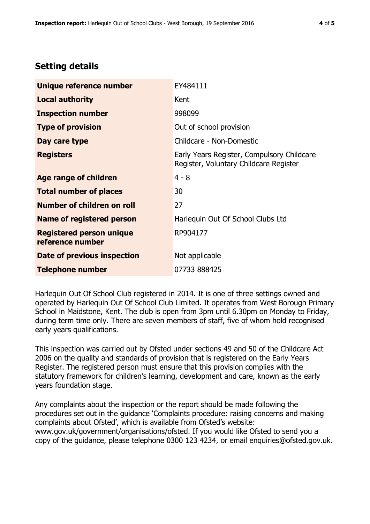# **Setting details**

| Unique reference number                             | EY484111                                                                             |  |
|-----------------------------------------------------|--------------------------------------------------------------------------------------|--|
| <b>Local authority</b>                              | Kent                                                                                 |  |
| <b>Inspection number</b>                            | 998099                                                                               |  |
| <b>Type of provision</b>                            | Out of school provision                                                              |  |
| Day care type                                       | Childcare - Non-Domestic                                                             |  |
| <b>Registers</b>                                    | Early Years Register, Compulsory Childcare<br>Register, Voluntary Childcare Register |  |
| Age range of children                               | $4 - 8$                                                                              |  |
| <b>Total number of places</b>                       | 30                                                                                   |  |
| Number of children on roll                          | 27                                                                                   |  |
| <b>Name of registered person</b>                    | Harlequin Out Of School Clubs Ltd                                                    |  |
| <b>Registered person unique</b><br>reference number | RP904177                                                                             |  |
| <b>Date of previous inspection</b>                  | Not applicable                                                                       |  |
| <b>Telephone number</b>                             | 07733 888425                                                                         |  |

Harlequin Out Of School Club registered in 2014. It is one of three settings owned and operated by Harlequin Out Of School Club Limited. It operates from West Borough Primary School in Maidstone, Kent. The club is open from 3pm until 6.30pm on Monday to Friday, during term time only. There are seven members of staff, five of whom hold recognised early years qualifications.

This inspection was carried out by Ofsted under sections 49 and 50 of the Childcare Act 2006 on the quality and standards of provision that is registered on the Early Years Register. The registered person must ensure that this provision complies with the statutory framework for children's learning, development and care, known as the early years foundation stage.

Any complaints about the inspection or the report should be made following the procedures set out in the guidance 'Complaints procedure: raising concerns and making complaints about Ofsted', which is available from Ofsted's website: www.gov.uk/government/organisations/ofsted. If you would like Ofsted to send you a copy of the guidance, please telephone 0300 123 4234, or email enquiries@ofsted.gov.uk.